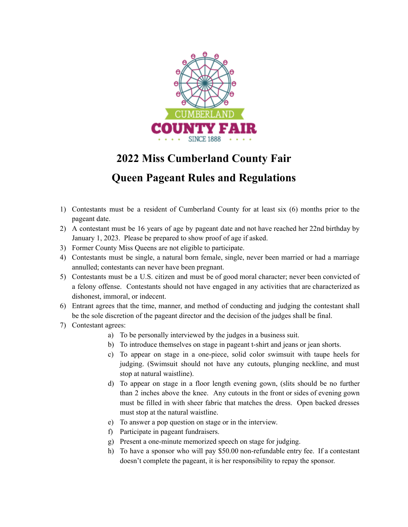

## **2022 Miss Cumberland County Fair**

## **Queen Pageant Rules and Regulations**

- 1) Contestants must be a resident of Cumberland County for at least six (6) months prior to the pageant date.
- 2) A contestant must be 16 years of age by pageant date and not have reached her 22nd birthday by January 1, 2023. Please be prepared to show proof of age if asked.
- 3) Former County Miss Queens are not eligible to participate.
- 4) Contestants must be single, a natural born female, single, never been married or had a marriage annulled; contestants can never have been pregnant.
- 5) Contestants must be a U.S. citizen and must be of good moral character; never been convicted of a felony offense. Contestants should not have engaged in any activities that are characterized as dishonest, immoral, or indecent.
- 6) Entrant agrees that the time, manner, and method of conducting and judging the contestant shall be the sole discretion of the pageant director and the decision of the judges shall be final.
- 7) Contestant agrees:
	- a) To be personally interviewed by the judges in a business suit.
	- b) To introduce themselves on stage in pageant t-shirt and jeans or jean shorts.
	- c) To appear on stage in a one-piece, solid color swimsuit with taupe heels for judging. (Swimsuit should not have any cutouts, plunging neckline, and must stop at natural waistline).
	- d) To appear on stage in a floor length evening gown, (slits should be no further than 2 inches above the knee. Any cutouts in the front or sides of evening gown must be filled in with sheer fabric that matches the dress. Open backed dresses must stop at the natural waistline.
	- e) To answer a pop question on stage or in the interview.
	- f) Participate in pageant fundraisers.
	- g) Present a one-minute memorized speech on stage for judging.
	- h) To have a sponsor who will pay \$50.00 non-refundable entry fee. If a contestant doesn't complete the pageant, it is her responsibility to repay the sponsor.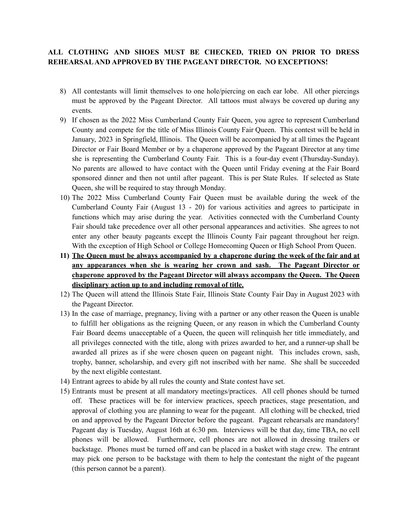## **ALL CLOTHING AND SHOES MUST BE CHECKED, TRIED ON PRIOR TO DRESS REHEARSALAND APPROVED BY THE PAGEANT DIRECTOR. NO EXCEPTIONS!**

- 8) All contestants will limit themselves to one hole/piercing on each ear lobe. All other piercings must be approved by the Pageant Director. All tattoos must always be covered up during any events.
- 9) If chosen as the 2022 Miss Cumberland County Fair Queen, you agree to represent Cumberland County and compete for the title of Miss Illinois County Fair Queen. This contest will be held in January, 2023 in Springfield, Illinois. The Queen will be accompanied by at all times the Pageant Director or Fair Board Member or by a chaperone approved by the Pageant Director at any time she is representing the Cumberland County Fair. This is a four-day event (Thursday-Sunday). No parents are allowed to have contact with the Queen until Friday evening at the Fair Board sponsored dinner and then not until after pageant. This is per State Rules. If selected as State Queen, she will be required to stay through Monday.
- 10) The 2022 Miss Cumberland County Fair Queen must be available during the week of the Cumberland County Fair (August 13 - 20) for various activities and agrees to participate in functions which may arise during the year. Activities connected with the Cumberland County Fair should take precedence over all other personal appearances and activities. She agrees to not enter any other beauty pageants except the Illinois County Fair pageant throughout her reign. With the exception of High School or College Homecoming Queen or High School Prom Queen.
- **11) The Queen must be always accompanied by a chaperone during the week of the fair and at any appearances when she is wearing her crown and sash. The Pageant Director or chaperone approved by the Pageant Director will always accompany the Queen. The Queen disciplinary action up to and including removal of title.**
- 12) The Queen will attend the Illinois State Fair, Illinois State County Fair Day in August 2023 with the Pageant Director.
- 13) In the case of marriage, pregnancy, living with a partner or any other reason the Queen is unable to fulfill her obligations as the reigning Queen, or any reason in which the Cumberland County Fair Board deems unacceptable of a Queen, the queen will relinquish her title immediately, and all privileges connected with the title, along with prizes awarded to her, and a runner-up shall be awarded all prizes as if she were chosen queen on pageant night. This includes crown, sash, trophy, banner, scholarship, and every gift not inscribed with her name. She shall be succeeded by the next eligible contestant.
- 14) Entrant agrees to abide by all rules the county and State contest have set.
- 15) Entrants must be present at all mandatory meetings/practices. All cell phones should be turned off. These practices will be for interview practices, speech practices, stage presentation, and approval of clothing you are planning to wear for the pageant. All clothing will be checked, tried on and approved by the Pageant Director before the pageant. Pageant rehearsals are mandatory! Pageant day is Tuesday, August 16th at 6:30 pm. Interviews will be that day, time TBA, no cell phones will be allowed. Furthermore, cell phones are not allowed in dressing trailers or backstage. Phones must be turned off and can be placed in a basket with stage crew. The entrant may pick one person to be backstage with them to help the contestant the night of the pageant (this person cannot be a parent).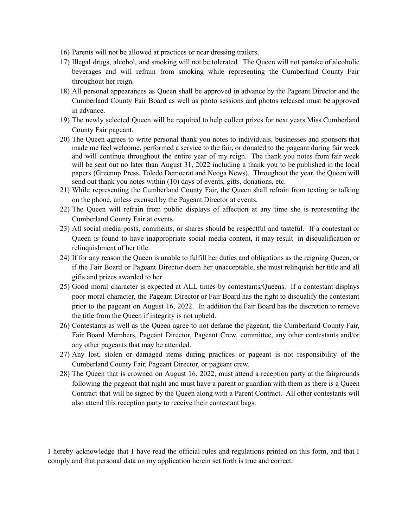- 16) Parents will not be allowed at practices or near dressing trailers.
- 17) Illegal drugs, alcohol, and smoking will not be tolerated. The Queen will not partake of alcoholic beverages and will refrain from smoking while representing the Cumberland County Fair throughout her reign.
- 18) All personal appearances as Queen shall be approved in advance by the Pageant Director and the Cumberland County Fair Board as well as photo sessions and photos released must be approved in advance.
- 19) The newly selected Queen will be required to help collect prizes for next years Miss Cumberland County Fair pageant.
- 20) The Queen agrees to write personal thank you notes to individuals, businesses and sponsors that made me feel welcome, performed a service to the fair, or donated to the pageant during fair week and will continue throughout the entire year of my reign. The thank you notes from fair week will be sent out no later than August 31, 2022 including a thank you to be published in the local papers (Greenup Press, Toledo Democrat and Neoga News). Throughout the year, the Queen will send out thank you notes within (10) days of events, gifts, donations, etc.
- 21) While representing the Cumberland County Fair, the Queen shall refrain from texting or talking on the phone, unless excused by the Pageant Director at events.
- 22) The Queen will refrain from public displays of affection at any time she is representing the Cumberland County Fair at events.
- 23) All social media posts, comments, or shares should be respectful and tasteful. If a contestant or Queen is found to have inappropriate social media content, it may result in disqualification or relinquishment of her title.
- 24) If for any reason the Queen is unable to fulfill her duties and obligations as the reigning Queen, or if the Fair Board or Pageant Director deem her unacceptable, she must relinquish her title and all gifts and prizes awarded to her
- 25) Good moral character is expected at ALL times by contestants/Queens. If a contestant displays poor moral character, the Pageant Director or Fair Board has the right to disqualify the contestant prior to the pageant on August 16, 2022. In addition the Fair Board has the discretion to remove the title from the Queen if integrity is not upheld.
- 26) Contestants as well as the Queen agree to not defame the pageant, the Cumberland County Fair, Fair Board Members, Pageant Director, Pageant Crew, committee, any other contestants and/or any other pageants that may be attended.
- 27) Any lost, stolen or damaged items during practices or pageant is not responsibility of the Cumberland County Fair, Pageant Director, or pageant crew.
- 28) The Queen that is crowned on August 16, 2022, must attend a reception party at the fairgrounds following the pageant that night and must have a parent or guardian with them as there is a Queen Contract that will be signed by the Queen along with a Parent Contract. All other contestants will also attend this reception party to receive their contestant bags.

I hereby acknowledge that I have read the official rules and regulations printed on this form, and that I comply and that personal data on my application herein set forth is true and correct.